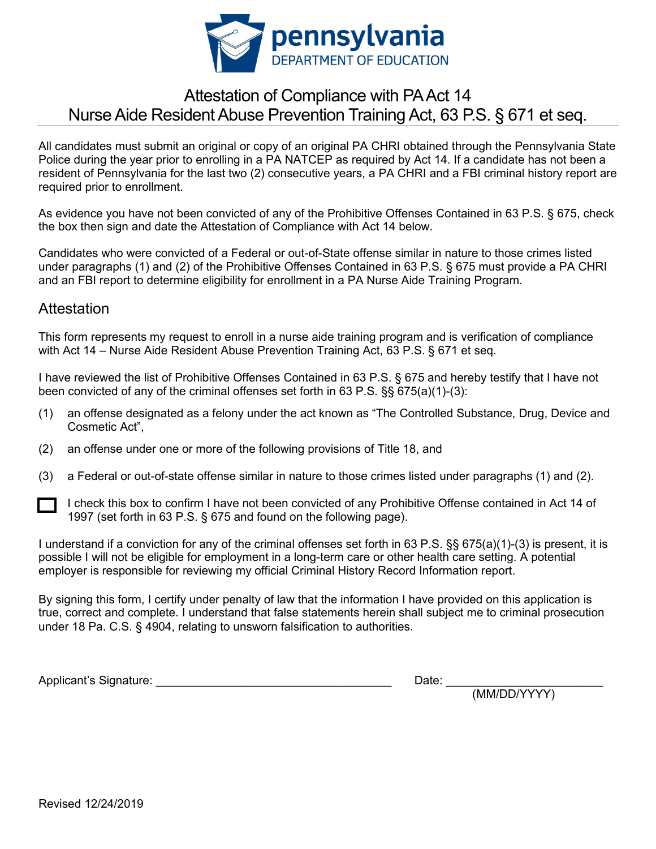

## Attestation of Compliance with PA Act 14 Nurse Aide Resident Abuse Prevention Training Act, 63 P.S. § 671 et seq.

All candidates must submit an original or copy of an original PA CHRI obtained through the Pennsylvania State Police during the year prior to enrolling in a PA NATCEP as required by Act 14. If a candidate has not been a resident of Pennsylvania for the last two (2) consecutive years, a PA CHRI and a FBI criminal history report are required prior to enrollment.

As evidence you have not been convicted of any of the Prohibitive Offenses Contained in 63 P.S. § 675, check the box then sign and date the Attestation of Compliance with Act 14 below.

Candidates who were convicted of a Federal or out-of-State offense similar in nature to those crimes listed under paragraphs (1) and (2) of the Prohibitive Offenses Contained in 63 P.S. § 675 must provide a PA CHRI and an FBI report to determine eligibility for enrollment in a PA Nurse Aide Training Program.

## **Attestation**

This form represents my request to enroll in a nurse aide training program and is verification of compliance with Act 14 – Nurse Aide Resident Abuse Prevention Training Act, 63 P.S. § 671 et seq.

I have reviewed the list of Prohibitive Offenses Contained in 63 P.S. § 675 and hereby testify that I have not been convicted of any of the criminal offenses set forth in 63 P.S. §§ 675(a)(1)-(3):

- (1) an offense designated as a felony under the act known as "The Controlled Substance, Drug, Device and Cosmetic Act",
- (2) an offense under one or more of the following provisions of Title 18, and
- (3) a Federal or out-of-state offense similar in nature to those crimes listed under paragraphs (1) and (2).
	- I check this box to confirm I have not been convicted of any Prohibitive Offense contained in Act 14 of 1997 (set forth in 63 P.S. § 675 and found on the following page).

I understand if a conviction for any of the criminal offenses set forth in 63 P.S. §§ 675(a)(1)-(3) is present, it is possible I will not be eligible for employment in a long-term care or other health care setting. A potential employer is responsible for reviewing my official Criminal History Record Information report.

By signing this form, I certify under penalty of law that the information I have provided on this application is true, correct and complete. I understand that false statements herein shall subject me to criminal prosecution under 18 Pa. C.S. § 4904, relating to unsworn falsification to authorities.

Applicant's Signature: \_\_\_\_\_\_\_\_\_\_\_\_\_\_\_\_\_\_\_\_\_\_\_\_\_\_\_\_\_\_\_\_\_\_\_\_ Date: \_\_\_\_\_\_\_\_\_\_\_\_\_\_\_\_\_\_\_\_\_\_\_\_

Date: <u>(MM/DD/YYYY)</u>